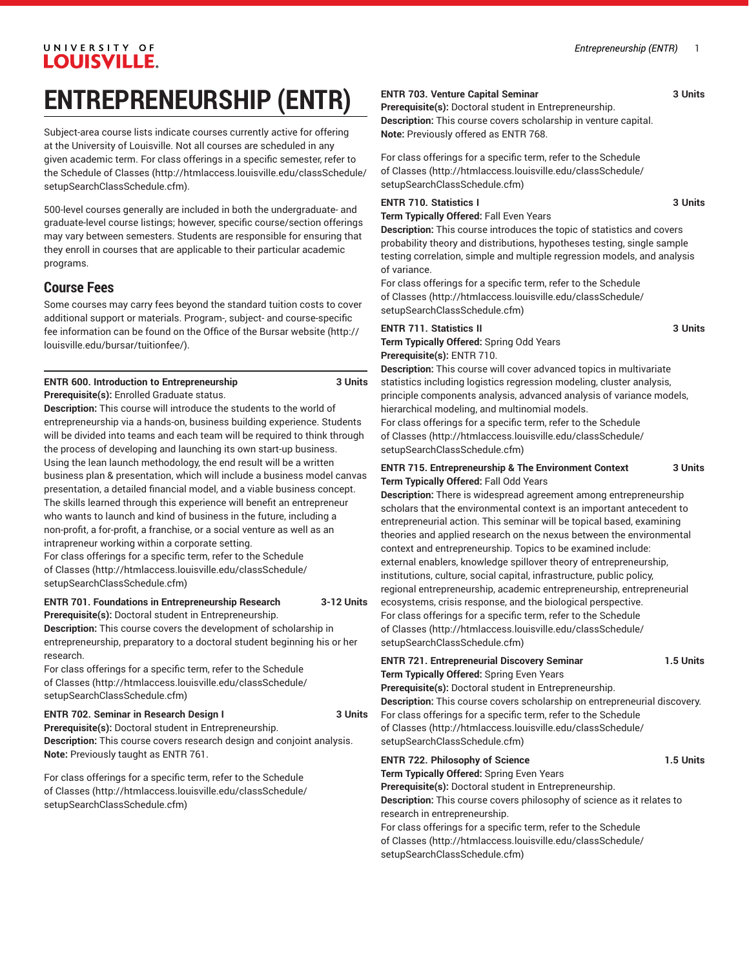# UNIVERSITY OF **LOUISVILLE.**

# **ENTREPRENEURSHIP (ENTR)**

Subject-area course lists indicate courses currently active for offering at the University of Louisville. Not all courses are scheduled in any given academic term. For class offerings in a specific semester, refer to the [Schedule of Classes](http://htmlaccess.louisville.edu/classSchedule/setupSearchClassSchedule.cfm) ([http://htmlaccess.louisville.edu/classSchedule/](http://htmlaccess.louisville.edu/classSchedule/setupSearchClassSchedule.cfm) [setupSearchClassSchedule.cfm\)](http://htmlaccess.louisville.edu/classSchedule/setupSearchClassSchedule.cfm).

500-level courses generally are included in both the undergraduate- and graduate-level course listings; however, specific course/section offerings may vary between semesters. Students are responsible for ensuring that they enroll in courses that are applicable to their particular academic programs.

# **Course Fees**

Some courses may carry fees beyond the standard tuition costs to cover additional support or materials. Program-, subject- and course-specific fee information can be found on the [Office of the Bursar website](http://louisville.edu/bursar/tuitionfee/) ([http://](http://louisville.edu/bursar/tuitionfee/) [louisville.edu/bursar/tuitionfee/](http://louisville.edu/bursar/tuitionfee/)).

## **ENTR 600. Introduction to Entrepreneurship 3 Units**

**Prerequisite(s):** Enrolled Graduate status.

**Description:** This course will introduce the students to the world of entrepreneurship via a hands-on, business building experience. Students will be divided into teams and each team will be required to think through the process of developing and launching its own start-up business. Using the lean launch methodology, the end result will be a written business plan & presentation, which will include a business model canvas presentation, a detailed financial model, and a viable business concept. The skills learned through this experience will benefit an entrepreneur who wants to launch and kind of business in the future, including a non-profit, a for-profit, a franchise, or a social venture as well as an intrapreneur working within a corporate setting.

For class offerings for a specific term, refer to the [Schedule](http://htmlaccess.louisville.edu/classSchedule/setupSearchClassSchedule.cfm) [of Classes \(http://htmlaccess.louisville.edu/classSchedule/](http://htmlaccess.louisville.edu/classSchedule/setupSearchClassSchedule.cfm) [setupSearchClassSchedule.cfm\)](http://htmlaccess.louisville.edu/classSchedule/setupSearchClassSchedule.cfm)

## **ENTR 701. Foundations in Entrepreneurship Research 3-12 Units**

**Prerequisite(s):** Doctoral student in Entrepreneurship.

**Description:** This course covers the development of scholarship in entrepreneurship, preparatory to a doctoral student beginning his or her research.

For class offerings for a specific term, refer to the [Schedule](http://htmlaccess.louisville.edu/classSchedule/setupSearchClassSchedule.cfm) [of Classes \(http://htmlaccess.louisville.edu/classSchedule/](http://htmlaccess.louisville.edu/classSchedule/setupSearchClassSchedule.cfm) [setupSearchClassSchedule.cfm\)](http://htmlaccess.louisville.edu/classSchedule/setupSearchClassSchedule.cfm)

## **ENTR 702. Seminar in Research Design I 3 Units**

**Prerequisite(s):** Doctoral student in Entrepreneurship. **Description:** This course covers research design and conjoint analysis. **Note:** Previously taught as ENTR 761.

For class offerings for a specific term, refer to the [Schedule](http://htmlaccess.louisville.edu/classSchedule/setupSearchClassSchedule.cfm) [of Classes \(http://htmlaccess.louisville.edu/classSchedule/](http://htmlaccess.louisville.edu/classSchedule/setupSearchClassSchedule.cfm) [setupSearchClassSchedule.cfm\)](http://htmlaccess.louisville.edu/classSchedule/setupSearchClassSchedule.cfm)

## **ENTR 703. Venture Capital Seminar 3 Units**

**Prerequisite(s):** Doctoral student in Entrepreneurship. **Description:** This course covers scholarship in venture capital. **Note:** Previously offered as ENTR 768.

For class offerings for a specific term, refer to the [Schedule](http://htmlaccess.louisville.edu/classSchedule/setupSearchClassSchedule.cfm) [of Classes](http://htmlaccess.louisville.edu/classSchedule/setupSearchClassSchedule.cfm) ([http://htmlaccess.louisville.edu/classSchedule/](http://htmlaccess.louisville.edu/classSchedule/setupSearchClassSchedule.cfm) [setupSearchClassSchedule.cfm\)](http://htmlaccess.louisville.edu/classSchedule/setupSearchClassSchedule.cfm)

## **ENTR 710. Statistics I 3 Units**

**Term Typically Offered:** Fall Even Years

**Description:** This course introduces the topic of statistics and covers probability theory and distributions, hypotheses testing, single sample testing correlation, simple and multiple regression models, and analysis of variance.

For class offerings for a specific term, refer to the [Schedule](http://htmlaccess.louisville.edu/classSchedule/setupSearchClassSchedule.cfm) [of Classes](http://htmlaccess.louisville.edu/classSchedule/setupSearchClassSchedule.cfm) ([http://htmlaccess.louisville.edu/classSchedule/](http://htmlaccess.louisville.edu/classSchedule/setupSearchClassSchedule.cfm) [setupSearchClassSchedule.cfm\)](http://htmlaccess.louisville.edu/classSchedule/setupSearchClassSchedule.cfm)

## **ENTR 711. Statistics II** 3 Units

**Term Typically Offered:** Spring Odd Years **Prerequisite(s):** ENTR 710.

**Description:** This course will cover advanced topics in multivariate statistics including logistics regression modeling, cluster analysis, principle components analysis, advanced analysis of variance models, hierarchical modeling, and multinomial models.

For class offerings for a specific term, refer to the [Schedule](http://htmlaccess.louisville.edu/classSchedule/setupSearchClassSchedule.cfm) [of Classes](http://htmlaccess.louisville.edu/classSchedule/setupSearchClassSchedule.cfm) ([http://htmlaccess.louisville.edu/classSchedule/](http://htmlaccess.louisville.edu/classSchedule/setupSearchClassSchedule.cfm) [setupSearchClassSchedule.cfm\)](http://htmlaccess.louisville.edu/classSchedule/setupSearchClassSchedule.cfm)

## **ENTR 715. Entrepreneurship & The Environment Context 3 Units Term Typically Offered:** Fall Odd Years

**Description:** There is widespread agreement among entrepreneurship scholars that the environmental context is an important antecedent to entrepreneurial action. This seminar will be topical based, examining theories and applied research on the nexus between the environmental context and entrepreneurship. Topics to be examined include: external enablers, knowledge spillover theory of entrepreneurship, institutions, culture, social capital, infrastructure, public policy, regional entrepreneurship, academic entrepreneurship, entrepreneurial ecosystems, crisis response, and the biological perspective. For class offerings for a specific term, refer to the [Schedule](http://htmlaccess.louisville.edu/classSchedule/setupSearchClassSchedule.cfm) [of Classes](http://htmlaccess.louisville.edu/classSchedule/setupSearchClassSchedule.cfm) ([http://htmlaccess.louisville.edu/classSchedule/](http://htmlaccess.louisville.edu/classSchedule/setupSearchClassSchedule.cfm) [setupSearchClassSchedule.cfm\)](http://htmlaccess.louisville.edu/classSchedule/setupSearchClassSchedule.cfm)

## **ENTR 721. Entrepreneurial Discovery Seminar 1.5 Units Term Typically Offered:** Spring Even Years **Prerequisite(s):** Doctoral student in Entrepreneurship. **Description:** This course covers scholarship on entrepreneurial discovery. For class offerings for a specific term, refer to the [Schedule](http://htmlaccess.louisville.edu/classSchedule/setupSearchClassSchedule.cfm) [of Classes](http://htmlaccess.louisville.edu/classSchedule/setupSearchClassSchedule.cfm) ([http://htmlaccess.louisville.edu/classSchedule/](http://htmlaccess.louisville.edu/classSchedule/setupSearchClassSchedule.cfm) [setupSearchClassSchedule.cfm\)](http://htmlaccess.louisville.edu/classSchedule/setupSearchClassSchedule.cfm)

**ENTR 722. Philosophy of Science 1.5 Units Term Typically Offered:** Spring Even Years **Prerequisite(s):** Doctoral student in Entrepreneurship. **Description:** This course covers philosophy of science as it relates to research in entrepreneurship. For class offerings for a specific term, refer to the [Schedule](http://htmlaccess.louisville.edu/classSchedule/setupSearchClassSchedule.cfm) [of Classes](http://htmlaccess.louisville.edu/classSchedule/setupSearchClassSchedule.cfm) ([http://htmlaccess.louisville.edu/classSchedule/](http://htmlaccess.louisville.edu/classSchedule/setupSearchClassSchedule.cfm) [setupSearchClassSchedule.cfm\)](http://htmlaccess.louisville.edu/classSchedule/setupSearchClassSchedule.cfm)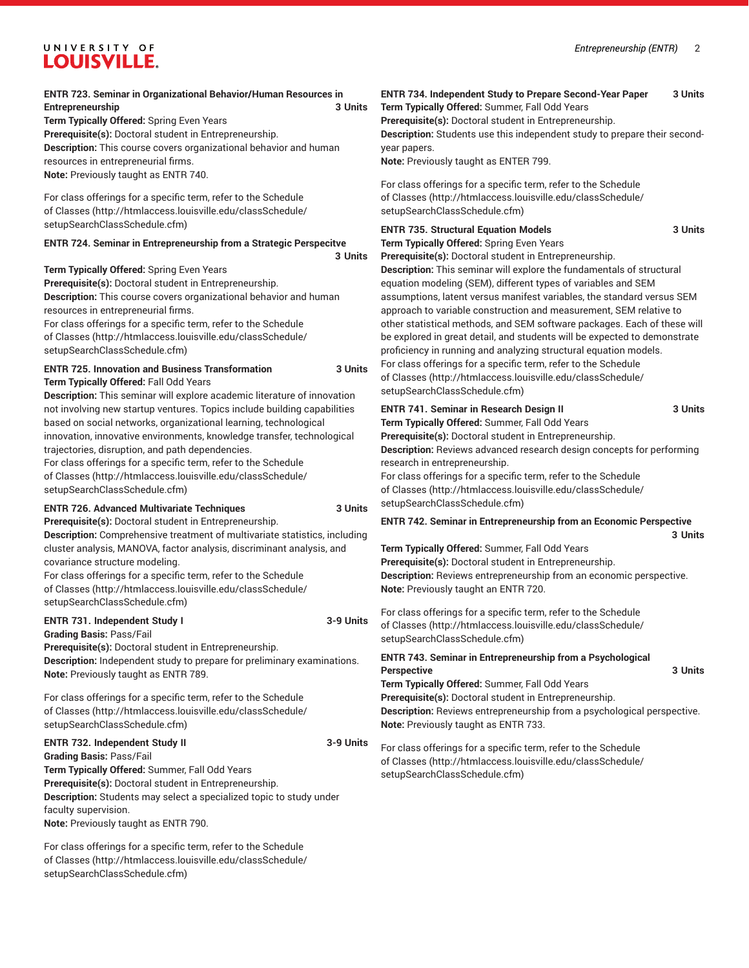# UNIVERSITY OF LOUISVILLE.

| <b>ENTR 723. Seminar in Organizational Behavior/Human Resources in</b><br>Entrepreneurship<br>Term Typically Offered: Spring Even Years<br>Prerequisite(s): Doctoral student in Entrepreneurship.<br>Description: This course covers organizational behavior and human<br>resources in entrepreneurial firms.<br>Note: Previously taught as ENTR 740.<br>For class offerings for a specific term, refer to the Schedule                                                                                                                                                                                                                                                                                                                                                                                                                                  | 3 Units              | ENTR 734. Independent Study to Prepare Second-Year Paper<br>Term Typically Offered: Summer, Fall Odd Years<br>Prerequisite(s): Doctoral student in Entrepreneurship.<br>Description: Students use this independent study to prepare their second-<br>year papers.<br>Note: Previously taught as ENTER 799.<br>For class offerings for a specific term, refer to the Schedule<br>of Classes (http://htmlaccess.louisville.edu/classSchedule/                                                                                                                                                                                                                                                                                                                                                                                                                                  | 3 Units            |
|----------------------------------------------------------------------------------------------------------------------------------------------------------------------------------------------------------------------------------------------------------------------------------------------------------------------------------------------------------------------------------------------------------------------------------------------------------------------------------------------------------------------------------------------------------------------------------------------------------------------------------------------------------------------------------------------------------------------------------------------------------------------------------------------------------------------------------------------------------|----------------------|------------------------------------------------------------------------------------------------------------------------------------------------------------------------------------------------------------------------------------------------------------------------------------------------------------------------------------------------------------------------------------------------------------------------------------------------------------------------------------------------------------------------------------------------------------------------------------------------------------------------------------------------------------------------------------------------------------------------------------------------------------------------------------------------------------------------------------------------------------------------------|--------------------|
| of Classes (http://htmlaccess.louisville.edu/classSchedule/<br>setupSearchClassSchedule.cfm)<br>ENTR 724. Seminar in Entrepreneurship from a Strategic Perspecitve<br>Term Typically Offered: Spring Even Years<br>Prerequisite(s): Doctoral student in Entrepreneurship.<br>Description: This course covers organizational behavior and human<br>resources in entrepreneurial firms.<br>For class offerings for a specific term, refer to the Schedule<br>of Classes (http://htmlaccess.louisville.edu/classSchedule/<br>setupSearchClassSchedule.cfm)<br><b>ENTR 725. Innovation and Business Transformation</b><br>Term Typically Offered: Fall Odd Years<br>Description: This seminar will explore academic literature of innovation                                                                                                                 | 3 Units<br>3 Units   | setupSearchClassSchedule.cfm)<br><b>ENTR 735. Structural Equation Models</b><br>Term Typically Offered: Spring Even Years<br>Prerequisite(s): Doctoral student in Entrepreneurship.<br>Description: This seminar will explore the fundamentals of structural<br>equation modeling (SEM), different types of variables and SEM<br>assumptions, latent versus manifest variables, the standard versus SEM<br>approach to variable construction and measurement, SEM relative to<br>other statistical methods, and SEM software packages. Each of these will<br>be explored in great detail, and students will be expected to demonstrate<br>proficiency in running and analyzing structural equation models.<br>For class offerings for a specific term, refer to the Schedule<br>of Classes (http://htmlaccess.louisville.edu/classSchedule/<br>setupSearchClassSchedule.cfm) | 3 Units            |
| not involving new startup ventures. Topics include building capabilities<br>based on social networks, organizational learning, technological<br>innovation, innovative environments, knowledge transfer, technological<br>trajectories, disruption, and path dependencies.<br>For class offerings for a specific term, refer to the Schedule<br>of Classes (http://htmlaccess.louisville.edu/classSchedule/<br>setupSearchClassSchedule.cfm)                                                                                                                                                                                                                                                                                                                                                                                                             |                      | <b>ENTR 741. Seminar in Research Design II</b><br>Term Typically Offered: Summer, Fall Odd Years<br>Prerequisite(s): Doctoral student in Entrepreneurship.<br>Description: Reviews advanced research design concepts for performing<br>research in entrepreneurship.<br>For class offerings for a specific term, refer to the Schedule<br>of Classes (http://htmlaccess.louisville.edu/classSchedule/<br>setupSearchClassSchedule.cfm)                                                                                                                                                                                                                                                                                                                                                                                                                                       | 3 Units            |
| <b>ENTR 726. Advanced Multivariate Techniques</b><br>Prerequisite(s): Doctoral student in Entrepreneurship.<br>Description: Comprehensive treatment of multivariate statistics, including<br>cluster analysis, MANOVA, factor analysis, discriminant analysis, and<br>covariance structure modeling.<br>For class offerings for a specific term, refer to the Schedule<br>of Classes (http://htmlaccess.louisville.edu/classSchedule/<br>setupSearchClassSchedule.cfm)<br>ENTR 731. Independent Study I<br><b>Grading Basis: Pass/Fail</b><br>Prerequisite(s): Doctoral student in Entrepreneurship.<br>Description: Independent study to prepare for preliminary examinations.<br>Note: Previously taught as ENTR 789.<br>For class offerings for a specific term, refer to the Schedule<br>of Classes (http://htmlaccess.louisville.edu/classSchedule/ | 3 Units<br>3-9 Units | <b>ENTR 742. Seminar in Entrepreneurship from an Economic Perspective</b><br>Term Typically Offered: Summer, Fall Odd Years<br>Prerequisite(s): Doctoral student in Entrepreneurship.<br>Description: Reviews entrepreneurship from an economic perspective.<br>Note: Previously taught an ENTR 720.<br>For class offerings for a specific term, refer to the Schedule<br>of Classes (http://htmlaccess.louisville.edu/classSchedule/<br>setupSearchClassSchedule.cfm)<br>ENTR 743. Seminar in Entrepreneurship from a Psychological<br><b>Perspective</b><br>Term Typically Offered: Summer, Fall Odd Years<br>Prerequisite(s): Doctoral student in Entrepreneurship.<br>Description: Reviews entrepreneurship from a psychological perspective.                                                                                                                            | 3 Units<br>3 Units |
| setupSearchClassSchedule.cfm)<br><b>ENTR 732. Independent Study II</b><br><b>Grading Basis: Pass/Fail</b><br>Term Typically Offered: Summer, Fall Odd Years<br>Prerequisite(s): Doctoral student in Entrepreneurship.<br>Description: Students may select a specialized topic to study under<br>faculty supervision.<br>Note: Previously taught as ENTR 790.                                                                                                                                                                                                                                                                                                                                                                                                                                                                                             | 3-9 Units            | Note: Previously taught as ENTR 733.<br>For class offerings for a specific term, refer to the Schedule<br>of Classes (http://htmlaccess.louisville.edu/classSchedule/<br>setupSearchClassSchedule.cfm)                                                                                                                                                                                                                                                                                                                                                                                                                                                                                                                                                                                                                                                                       |                    |

For class offerings for a specific term, refer to the [Schedule](http://htmlaccess.louisville.edu/classSchedule/setupSearchClassSchedule.cfm) [of Classes \(http://htmlaccess.louisville.edu/classSchedule/](http://htmlaccess.louisville.edu/classSchedule/setupSearchClassSchedule.cfm) [setupSearchClassSchedule.cfm\)](http://htmlaccess.louisville.edu/classSchedule/setupSearchClassSchedule.cfm)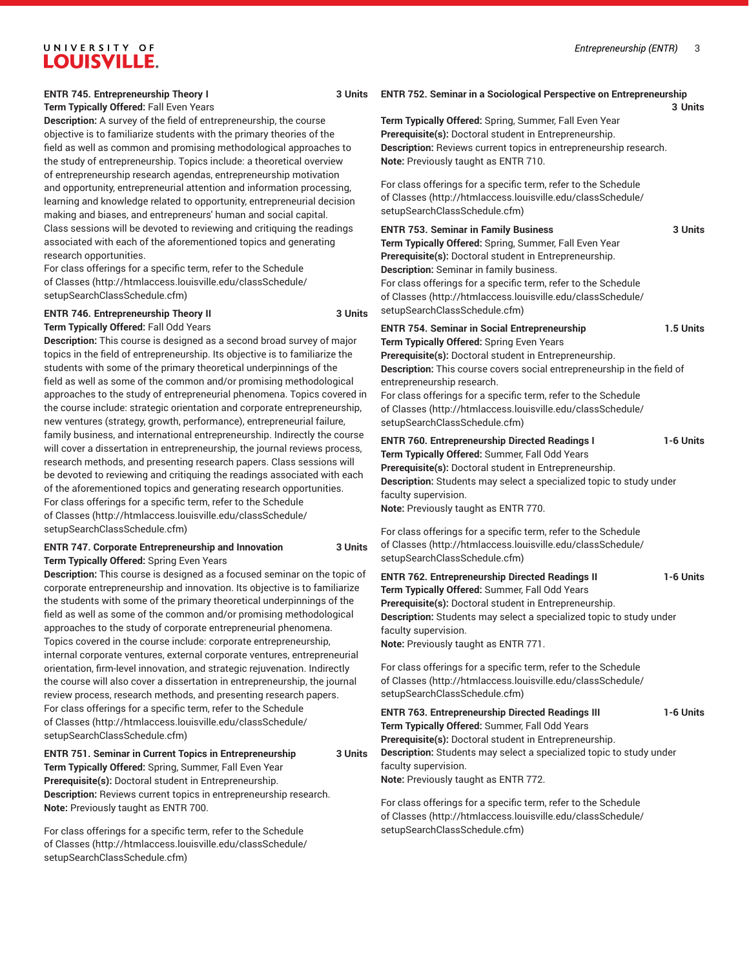**3 Units**

# UNIVERSITY OF **LOUISVILLE.**

### **ENTR 745. Entrepreneurship Theory I 3 Units**

**Term Typically Offered:** Fall Even Years

**Description:** A survey of the field of entrepreneurship, the course objective is to familiarize students with the primary theories of the field as well as common and promising methodological approaches to the study of entrepreneurship. Topics include: a theoretical overview of entrepreneurship research agendas, entrepreneurship motivation and opportunity, entrepreneurial attention and information processing, learning and knowledge related to opportunity, entrepreneurial decision making and biases, and entrepreneurs' human and social capital. Class sessions will be devoted to reviewing and critiquing the readings associated with each of the aforementioned topics and generating research opportunities.

For class offerings for a specific term, refer to the [Schedule](http://htmlaccess.louisville.edu/classSchedule/setupSearchClassSchedule.cfm) [of Classes \(http://htmlaccess.louisville.edu/classSchedule/](http://htmlaccess.louisville.edu/classSchedule/setupSearchClassSchedule.cfm) [setupSearchClassSchedule.cfm\)](http://htmlaccess.louisville.edu/classSchedule/setupSearchClassSchedule.cfm)

## **ENTR 746. Entrepreneurship Theory II 3 Units**

**Term Typically Offered:** Fall Odd Years

**Description:** This course is designed as a second broad survey of major topics in the field of entrepreneurship. Its objective is to familiarize the students with some of the primary theoretical underpinnings of the field as well as some of the common and/or promising methodological approaches to the study of entrepreneurial phenomena. Topics covered in the course include: strategic orientation and corporate entrepreneurship, new ventures (strategy, growth, performance), entrepreneurial failure, family business, and international entrepreneurship. Indirectly the course will cover a dissertation in entrepreneurship, the journal reviews process, research methods, and presenting research papers. Class sessions will be devoted to reviewing and critiquing the readings associated with each of the aforementioned topics and generating research opportunities. For class offerings for a specific term, refer to the [Schedule](http://htmlaccess.louisville.edu/classSchedule/setupSearchClassSchedule.cfm) [of Classes \(http://htmlaccess.louisville.edu/classSchedule/](http://htmlaccess.louisville.edu/classSchedule/setupSearchClassSchedule.cfm) [setupSearchClassSchedule.cfm\)](http://htmlaccess.louisville.edu/classSchedule/setupSearchClassSchedule.cfm)

### **ENTR 747. Corporate Entrepreneurship and Innovation 3 Units Term Typically Offered:** Spring Even Years

**Description:** This course is designed as a focused seminar on the topic of corporate entrepreneurship and innovation. Its objective is to familiarize the students with some of the primary theoretical underpinnings of the field as well as some of the common and/or promising methodological approaches to the study of corporate entrepreneurial phenomena. Topics covered in the course include: corporate entrepreneurship, internal corporate ventures, external corporate ventures, entrepreneurial orientation, firm-level innovation, and strategic rejuvenation. Indirectly the course will also cover a dissertation in entrepreneurship, the journal review process, research methods, and presenting research papers. For class offerings for a specific term, refer to the [Schedule](http://htmlaccess.louisville.edu/classSchedule/setupSearchClassSchedule.cfm) [of Classes \(http://htmlaccess.louisville.edu/classSchedule/](http://htmlaccess.louisville.edu/classSchedule/setupSearchClassSchedule.cfm) [setupSearchClassSchedule.cfm\)](http://htmlaccess.louisville.edu/classSchedule/setupSearchClassSchedule.cfm)

## **ENTR 751. Seminar in Current Topics in Entrepreneurship 3 Units**

**Term Typically Offered:** Spring, Summer, Fall Even Year **Prerequisite(s):** Doctoral student in Entrepreneurship. **Description:** Reviews current topics in entrepreneurship research. **Note:** Previously taught as ENTR 700.

For class offerings for a specific term, refer to the [Schedule](http://htmlaccess.louisville.edu/classSchedule/setupSearchClassSchedule.cfm) [of Classes \(http://htmlaccess.louisville.edu/classSchedule/](http://htmlaccess.louisville.edu/classSchedule/setupSearchClassSchedule.cfm) [setupSearchClassSchedule.cfm\)](http://htmlaccess.louisville.edu/classSchedule/setupSearchClassSchedule.cfm)

#### **ENTR 752. Seminar in a Sociological Perspective on Entrepreneurship**

**Term Typically Offered:** Spring, Summer, Fall Even Year **Prerequisite(s):** Doctoral student in Entrepreneurship. **Description:** Reviews current topics in entrepreneurship research. **Note:** Previously taught as ENTR 710.

For class offerings for a specific term, refer to the [Schedule](http://htmlaccess.louisville.edu/classSchedule/setupSearchClassSchedule.cfm) [of Classes](http://htmlaccess.louisville.edu/classSchedule/setupSearchClassSchedule.cfm) ([http://htmlaccess.louisville.edu/classSchedule/](http://htmlaccess.louisville.edu/classSchedule/setupSearchClassSchedule.cfm) [setupSearchClassSchedule.cfm\)](http://htmlaccess.louisville.edu/classSchedule/setupSearchClassSchedule.cfm)

**ENTR 753. Seminar in Family Business 3 Units Term Typically Offered:** Spring, Summer, Fall Even Year **Prerequisite(s):** Doctoral student in Entrepreneurship. **Description:** Seminar in family business. For class offerings for a specific term, refer to the [Schedule](http://htmlaccess.louisville.edu/classSchedule/setupSearchClassSchedule.cfm) [of Classes](http://htmlaccess.louisville.edu/classSchedule/setupSearchClassSchedule.cfm) ([http://htmlaccess.louisville.edu/classSchedule/](http://htmlaccess.louisville.edu/classSchedule/setupSearchClassSchedule.cfm) [setupSearchClassSchedule.cfm\)](http://htmlaccess.louisville.edu/classSchedule/setupSearchClassSchedule.cfm)

## **ENTR 754. Seminar in Social Entrepreneurship 1.5 Units**

**Term Typically Offered:** Spring Even Years

**Prerequisite(s):** Doctoral student in Entrepreneurship. **Description:** This course covers social entrepreneurship in the field of entrepreneurship research.

For class offerings for a specific term, refer to the [Schedule](http://htmlaccess.louisville.edu/classSchedule/setupSearchClassSchedule.cfm) [of Classes](http://htmlaccess.louisville.edu/classSchedule/setupSearchClassSchedule.cfm) ([http://htmlaccess.louisville.edu/classSchedule/](http://htmlaccess.louisville.edu/classSchedule/setupSearchClassSchedule.cfm) [setupSearchClassSchedule.cfm\)](http://htmlaccess.louisville.edu/classSchedule/setupSearchClassSchedule.cfm)

### **ENTR 760. Entrepreneurship Directed Readings I 1-6 Units Term Typically Offered:** Summer, Fall Odd Years

**Prerequisite(s):** Doctoral student in Entrepreneurship. **Description:** Students may select a specialized topic to study under faculty supervision. **Note:** Previously taught as ENTR 770.

For class offerings for a specific term, refer to the [Schedule](http://htmlaccess.louisville.edu/classSchedule/setupSearchClassSchedule.cfm) [of Classes](http://htmlaccess.louisville.edu/classSchedule/setupSearchClassSchedule.cfm) ([http://htmlaccess.louisville.edu/classSchedule/](http://htmlaccess.louisville.edu/classSchedule/setupSearchClassSchedule.cfm) [setupSearchClassSchedule.cfm\)](http://htmlaccess.louisville.edu/classSchedule/setupSearchClassSchedule.cfm)

**ENTR 762. Entrepreneurship Directed Readings II 1-6 Units Term Typically Offered:** Summer, Fall Odd Years **Prerequisite(s):** Doctoral student in Entrepreneurship. **Description:** Students may select a specialized topic to study under faculty supervision. **Note:** Previously taught as ENTR 771.

For class offerings for a specific term, refer to the [Schedule](http://htmlaccess.louisville.edu/classSchedule/setupSearchClassSchedule.cfm) [of Classes](http://htmlaccess.louisville.edu/classSchedule/setupSearchClassSchedule.cfm) ([http://htmlaccess.louisville.edu/classSchedule/](http://htmlaccess.louisville.edu/classSchedule/setupSearchClassSchedule.cfm) [setupSearchClassSchedule.cfm\)](http://htmlaccess.louisville.edu/classSchedule/setupSearchClassSchedule.cfm)

**ENTR 763. Entrepreneurship Directed Readings III 1-6 Units Term Typically Offered:** Summer, Fall Odd Years **Prerequisite(s):** Doctoral student in Entrepreneurship. **Description:** Students may select a specialized topic to study under faculty supervision. **Note:** Previously taught as ENTR 772.

For class offerings for a specific term, refer to the [Schedule](http://htmlaccess.louisville.edu/classSchedule/setupSearchClassSchedule.cfm) [of Classes](http://htmlaccess.louisville.edu/classSchedule/setupSearchClassSchedule.cfm) ([http://htmlaccess.louisville.edu/classSchedule/](http://htmlaccess.louisville.edu/classSchedule/setupSearchClassSchedule.cfm) [setupSearchClassSchedule.cfm\)](http://htmlaccess.louisville.edu/classSchedule/setupSearchClassSchedule.cfm)